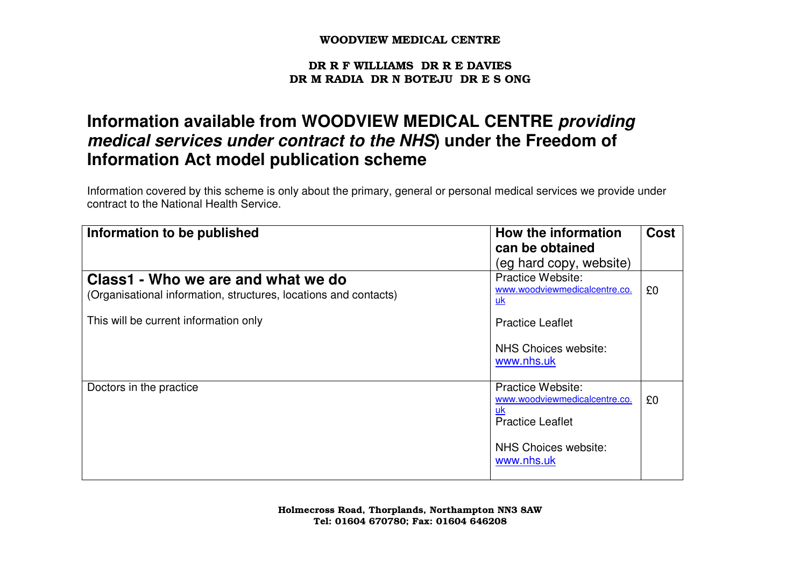#### DR R F WILLIAMS DR R E DAVIES DR M RADIA DR N BOTEJU DR E S ONG

# **Information available from WOODVIEW MEDICAL CENTRE providing medical services under contract to the NHS) under the Freedom of Information Act model publication scheme**

Information covered by this scheme is only about the primary, general or personal medical services we provide under contract to the National Health Service.

| Information to be published                                                                            | How the information                                                                               | <b>Cost</b> |
|--------------------------------------------------------------------------------------------------------|---------------------------------------------------------------------------------------------------|-------------|
|                                                                                                        | can be obtained                                                                                   |             |
|                                                                                                        | (eg hard copy, website)                                                                           |             |
| Class1 - Who we are and what we do<br>(Organisational information, structures, locations and contacts) | <b>Practice Website:</b><br>www.woodviewmedicalcentre.co.<br>uk                                   | £0          |
| This will be current information only                                                                  | <b>Practice Leaflet</b>                                                                           |             |
|                                                                                                        | NHS Choices website:<br>www.nhs.uk                                                                |             |
| Doctors in the practice                                                                                | <b>Practice Website:</b><br>www.woodviewmedicalcentre.co.<br><u>uk</u><br><b>Practice Leaflet</b> | £0          |
|                                                                                                        | NHS Choices website:<br>www.nhs.uk                                                                |             |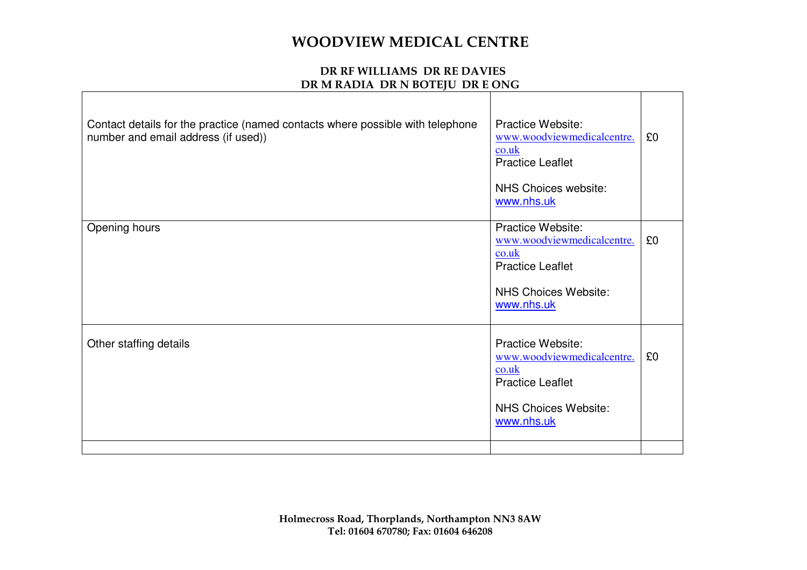| Contact details for the practice (named contacts where possible with telephone<br>number and email address (if used)) | <b>Practice Website:</b><br>www.woodviewmedicalcentre.<br>$\frac{\text{co.uk}}{\text{co.uk}}$<br><b>Practice Leaflet</b><br>NHS Choices website:<br>www.nhs.uk | £0 |
|-----------------------------------------------------------------------------------------------------------------------|----------------------------------------------------------------------------------------------------------------------------------------------------------------|----|
| Opening hours                                                                                                         | Practice Website:<br>www.woodviewmedicalcentre.<br>$\cosh$<br><b>Practice Leaflet</b><br><b>NHS Choices Website:</b><br>www.nhs.uk                             | £0 |
| Other staffing details                                                                                                | <b>Practice Website:</b><br>www.woodviewmedicalcentre.<br>$\cosh$<br><b>Practice Leaflet</b><br><b>NHS Choices Website:</b><br>www.nhs.uk                      | £0 |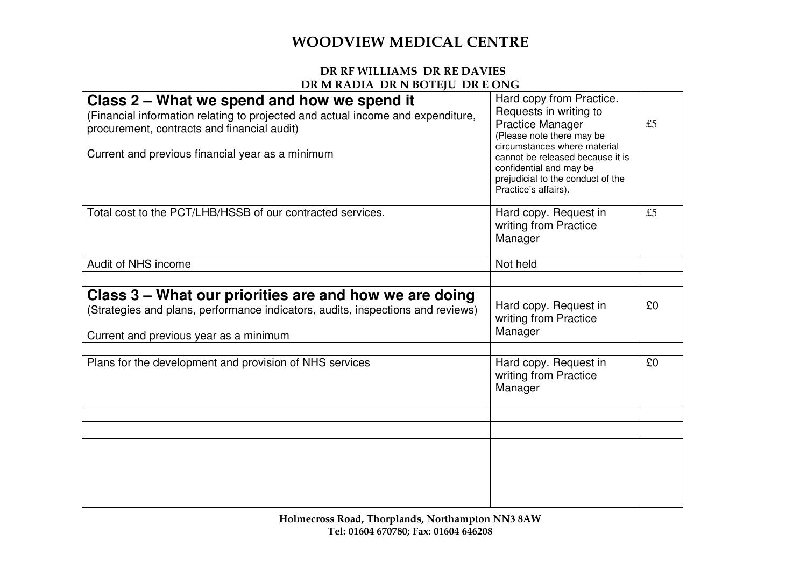| Class 2 – What we spend and how we spend it<br>(Financial information relating to projected and actual income and expenditure,<br>procurement, contracts and financial audit)<br>Current and previous financial year as a minimum | Hard copy from Practice.<br>Requests in writing to<br><b>Practice Manager</b><br>(Please note there may be<br>circumstances where material<br>cannot be released because it is<br>confidential and may be<br>prejudicial to the conduct of the<br>Practice's affairs). | £5 |
|-----------------------------------------------------------------------------------------------------------------------------------------------------------------------------------------------------------------------------------|------------------------------------------------------------------------------------------------------------------------------------------------------------------------------------------------------------------------------------------------------------------------|----|
| Total cost to the PCT/LHB/HSSB of our contracted services.                                                                                                                                                                        | Hard copy. Request in<br>writing from Practice<br>Manager                                                                                                                                                                                                              | £5 |
| Audit of NHS income                                                                                                                                                                                                               | Not held                                                                                                                                                                                                                                                               |    |
|                                                                                                                                                                                                                                   |                                                                                                                                                                                                                                                                        |    |
| Class 3 – What our priorities are and how we are doing<br>(Strategies and plans, performance indicators, audits, inspections and reviews)<br>Current and previous year as a minimum                                               | Hard copy. Request in<br>writing from Practice<br>Manager                                                                                                                                                                                                              | £0 |
| Plans for the development and provision of NHS services                                                                                                                                                                           | Hard copy. Request in<br>writing from Practice<br>Manager                                                                                                                                                                                                              | £0 |
|                                                                                                                                                                                                                                   |                                                                                                                                                                                                                                                                        |    |
|                                                                                                                                                                                                                                   |                                                                                                                                                                                                                                                                        |    |
|                                                                                                                                                                                                                                   |                                                                                                                                                                                                                                                                        |    |
|                                                                                                                                                                                                                                   |                                                                                                                                                                                                                                                                        |    |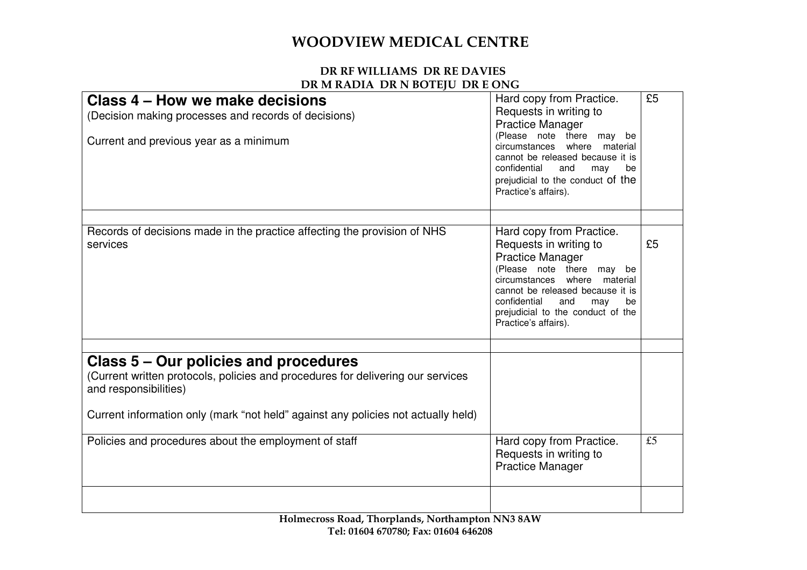| Class 4 – How we make decisions<br>(Decision making processes and records of decisions)<br>Current and previous year as a minimum                                                                                                      | Hard copy from Practice.<br>Requests in writing to<br><b>Practice Manager</b><br>(Please note there may be<br>circumstances where material<br>cannot be released because it is<br>confidential<br>and<br>may<br>be<br>prejudicial to the conduct of the<br>Practice's affairs).    | £5 |
|----------------------------------------------------------------------------------------------------------------------------------------------------------------------------------------------------------------------------------------|------------------------------------------------------------------------------------------------------------------------------------------------------------------------------------------------------------------------------------------------------------------------------------|----|
|                                                                                                                                                                                                                                        |                                                                                                                                                                                                                                                                                    |    |
| Records of decisions made in the practice affecting the provision of NHS<br>services                                                                                                                                                   | Hard copy from Practice.<br>Requests in writing to<br><b>Practice Manager</b><br>(Please note there may<br>be<br>circumstances where material<br>cannot be released because it is<br>confidential<br>and<br>may<br>be<br>prejudicial to the conduct of the<br>Practice's affairs). | £5 |
|                                                                                                                                                                                                                                        |                                                                                                                                                                                                                                                                                    |    |
| Class 5 – Our policies and procedures<br>(Current written protocols, policies and procedures for delivering our services<br>and responsibilities)<br>Current information only (mark "not held" against any policies not actually held) |                                                                                                                                                                                                                                                                                    |    |
| Policies and procedures about the employment of staff                                                                                                                                                                                  | Hard copy from Practice.<br>Requests in writing to<br><b>Practice Manager</b>                                                                                                                                                                                                      | £5 |
|                                                                                                                                                                                                                                        |                                                                                                                                                                                                                                                                                    |    |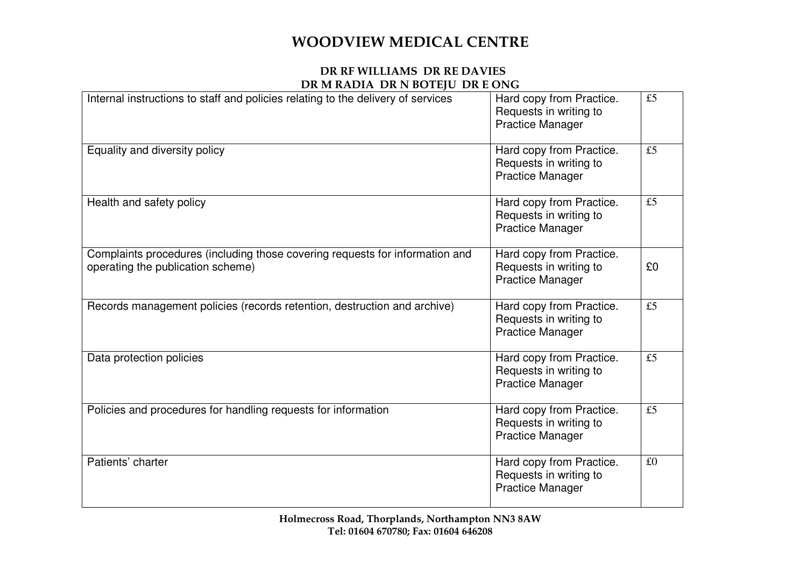| Internal instructions to staff and policies relating to the delivery of services                                  | Hard copy from Practice.<br>Requests in writing to<br><b>Practice Manager</b> | £5 |
|-------------------------------------------------------------------------------------------------------------------|-------------------------------------------------------------------------------|----|
| Equality and diversity policy                                                                                     | Hard copy from Practice.<br>Requests in writing to<br><b>Practice Manager</b> | £5 |
| Health and safety policy                                                                                          | Hard copy from Practice.<br>Requests in writing to<br><b>Practice Manager</b> | £5 |
| Complaints procedures (including those covering requests for information and<br>operating the publication scheme) | Hard copy from Practice.<br>Requests in writing to<br><b>Practice Manager</b> | £0 |
| Records management policies (records retention, destruction and archive)                                          | Hard copy from Practice.<br>Requests in writing to<br><b>Practice Manager</b> | £5 |
| Data protection policies                                                                                          | Hard copy from Practice.<br>Requests in writing to<br><b>Practice Manager</b> | £5 |
| Policies and procedures for handling requests for information                                                     | Hard copy from Practice.<br>Requests in writing to<br><b>Practice Manager</b> | £5 |
| Patients' charter                                                                                                 | Hard copy from Practice.<br>Requests in writing to<br><b>Practice Manager</b> | £0 |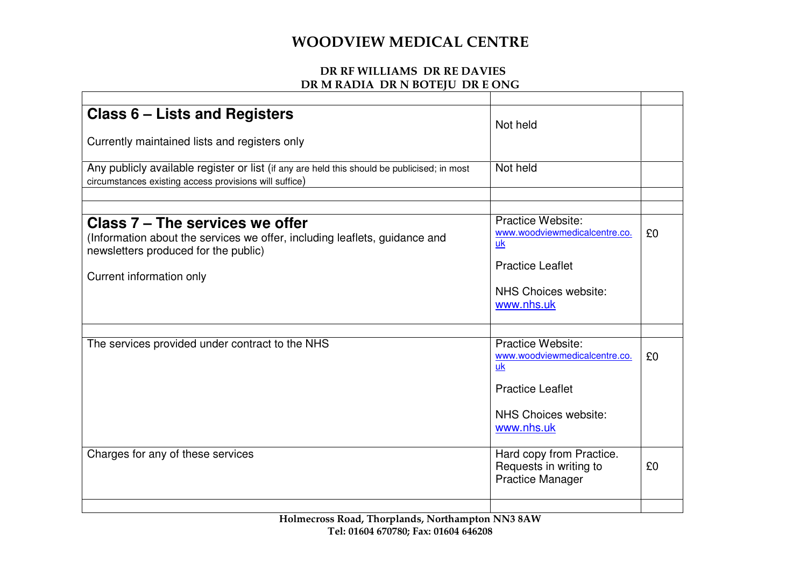| Class 6 – Lists and Registers                                                                                                                                                     | Not held                                                                                                                  |    |
|-----------------------------------------------------------------------------------------------------------------------------------------------------------------------------------|---------------------------------------------------------------------------------------------------------------------------|----|
| Currently maintained lists and registers only                                                                                                                                     |                                                                                                                           |    |
| Any publicly available register or list (if any are held this should be publicised; in most<br>circumstances existing access provisions will suffice)                             | Not held                                                                                                                  |    |
|                                                                                                                                                                                   |                                                                                                                           |    |
| Class 7 – The services we offer<br>(Information about the services we offer, including leaflets, guidance and<br>newsletters produced for the public)<br>Current information only | Practice Website:<br>www.woodviewmedicalcentre.co.<br>uk<br><b>Practice Leaflet</b><br>NHS Choices website:<br>www.nhs.uk | £0 |
|                                                                                                                                                                                   |                                                                                                                           |    |
| The services provided under contract to the NHS                                                                                                                                   | Practice Website:<br>www.woodviewmedicalcentre.co.<br>uk                                                                  | £0 |
|                                                                                                                                                                                   | <b>Practice Leaflet</b><br>NHS Choices website:<br>www.nhs.uk                                                             |    |
| Charges for any of these services                                                                                                                                                 | Hard copy from Practice.<br>Requests in writing to<br><b>Practice Manager</b>                                             | £0 |
|                                                                                                                                                                                   |                                                                                                                           |    |